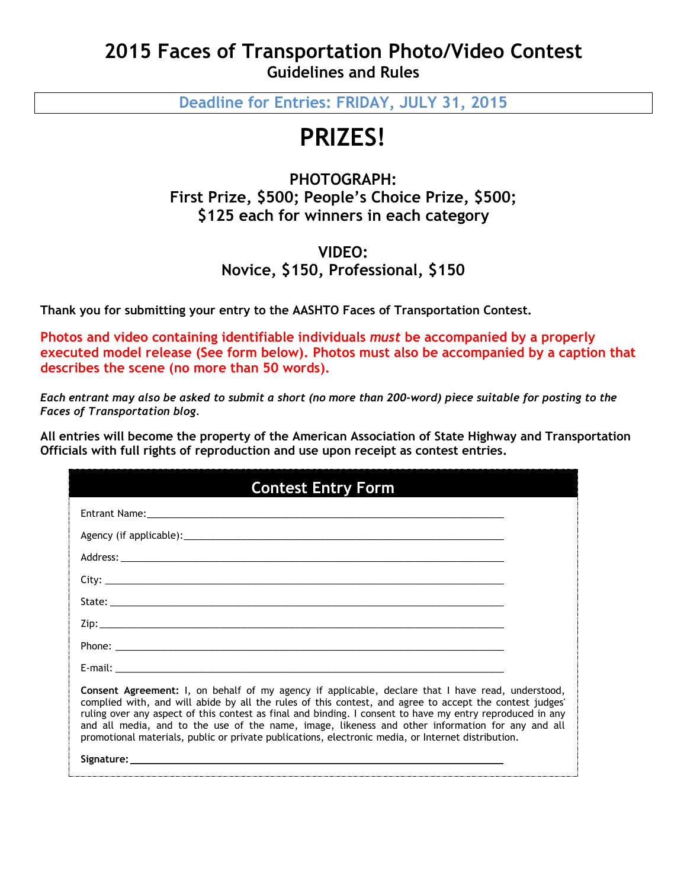# **2015 Faces of Transportation Photo/Video Contest Guidelines and Rules**

**Deadline for Entries: FRIDAY, JULY 31, 2015**

# **PRIZES!**

## **PHOTOGRAPH: First Prize, \$500; People's Choice Prize, \$500; \$125 each for winners in each category**

# **VIDEO: Novice, \$150, Professional, \$150**

**Thank you for submitting your entry to the AASHTO Faces of Transportation Contest.**

**Photos and video containing identifiable individuals** *must* **be accompanied by a properly executed model release (See form below). Photos must also be accompanied by a caption that describes the scene (no more than 50 words).**

*Each entrant may also be asked to submit a short (no more than 200-word) piece suitable for posting to the Faces of Transportation blog.*

**All entries will become the property of the American Association of State Highway and Transportation Officials with full rights of reproduction and use upon receipt as contest entries.**

| <b>Contest Entry Form</b>                                                                                                                                                                                                                                                                                                                                                                                                                                                                                                                  |  |
|--------------------------------------------------------------------------------------------------------------------------------------------------------------------------------------------------------------------------------------------------------------------------------------------------------------------------------------------------------------------------------------------------------------------------------------------------------------------------------------------------------------------------------------------|--|
|                                                                                                                                                                                                                                                                                                                                                                                                                                                                                                                                            |  |
|                                                                                                                                                                                                                                                                                                                                                                                                                                                                                                                                            |  |
|                                                                                                                                                                                                                                                                                                                                                                                                                                                                                                                                            |  |
|                                                                                                                                                                                                                                                                                                                                                                                                                                                                                                                                            |  |
|                                                                                                                                                                                                                                                                                                                                                                                                                                                                                                                                            |  |
|                                                                                                                                                                                                                                                                                                                                                                                                                                                                                                                                            |  |
|                                                                                                                                                                                                                                                                                                                                                                                                                                                                                                                                            |  |
|                                                                                                                                                                                                                                                                                                                                                                                                                                                                                                                                            |  |
| <b>Consent Agreement:</b> I, on behalf of my agency if applicable, declare that I have read, understood,<br>complied with, and will abide by all the rules of this contest, and agree to accept the contest judges'<br>ruling over any aspect of this contest as final and binding. I consent to have my entry reproduced in any<br>and all media, and to the use of the name, image, likeness and other information for any and all<br>promotional materials, public or private publications, electronic media, or Internet distribution. |  |
|                                                                                                                                                                                                                                                                                                                                                                                                                                                                                                                                            |  |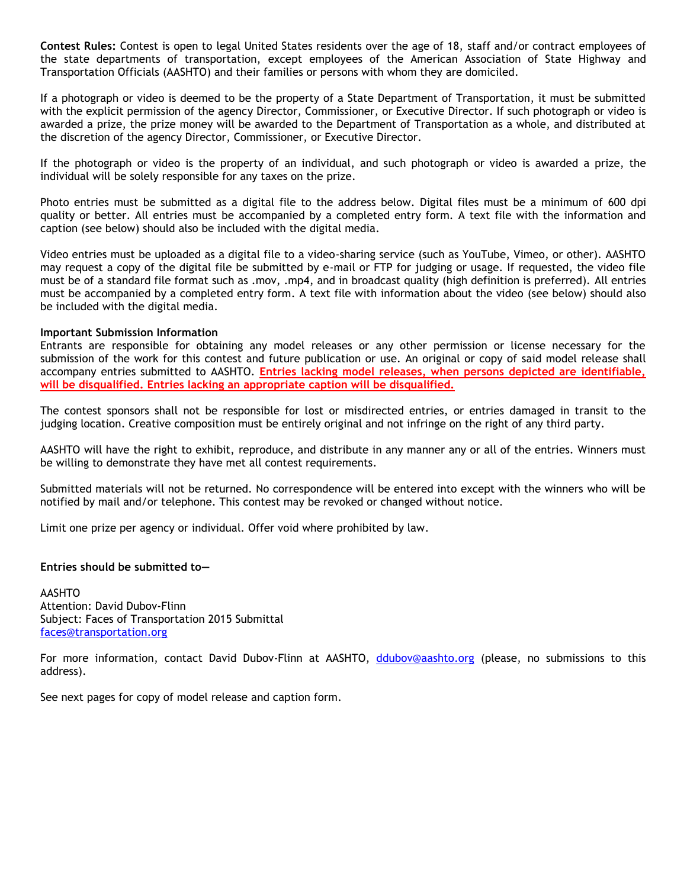**Contest Rules:** Contest is open to legal United States residents over the age of 18, staff and/or contract employees of the state departments of transportation, except employees of the American Association of State Highway and Transportation Officials (AASHTO) and their families or persons with whom they are domiciled.

If a photograph or video is deemed to be the property of a State Department of Transportation, it must be submitted with the explicit permission of the agency Director, Commissioner, or Executive Director. If such photograph or video is awarded a prize, the prize money will be awarded to the Department of Transportation as a whole, and distributed at the discretion of the agency Director, Commissioner, or Executive Director.

If the photograph or video is the property of an individual, and such photograph or video is awarded a prize, the individual will be solely responsible for any taxes on the prize.

Photo entries must be submitted as a digital file to the address below. Digital files must be a minimum of 600 dpi quality or better. All entries must be accompanied by a completed entry form. A text file with the information and caption (see below) should also be included with the digital media.

Video entries must be uploaded as a digital file to a video-sharing service (such as YouTube, Vimeo, or other). AASHTO may request a copy of the digital file be submitted by e-mail or FTP for judging or usage. If requested, the video file must be of a standard file format such as .mov, .mp4, and in broadcast quality (high definition is preferred). All entries must be accompanied by a completed entry form. A text file with information about the video (see below) should also be included with the digital media.

#### **Important Submission Information**

Entrants are responsible for obtaining any model releases or any other permission or license necessary for the submission of the work for this contest and future publication or use. An original or copy of said model release shall accompany entries submitted to AASHTO. **Entries lacking model releases, when persons depicted are identifiable, will be disqualified. Entries lacking an appropriate caption will be disqualified.**

The contest sponsors shall not be responsible for lost or misdirected entries, or entries damaged in transit to the judging location. Creative composition must be entirely original and not infringe on the right of any third party.

AASHTO will have the right to exhibit, reproduce, and distribute in any manner any or all of the entries. Winners must be willing to demonstrate they have met all contest requirements.

Submitted materials will not be returned. No correspondence will be entered into except with the winners who will be notified by mail and/or telephone. This contest may be revoked or changed without notice.

Limit one prize per agency or individual. Offer void where prohibited by law.

#### **Entries should be submitted to—**

AASHTO Attention: David Dubov-Flinn Subject: Faces of Transportation 2015 Submittal [faces@transportation.org](mailto:faces@transportation.org)

For more information, contact David Dubov-Flinn at AASHTO, [ddubov@aashto.org](mailto:ddubov@aashto.org) (please, no submissions to this address).

See next pages for copy of model release and caption form.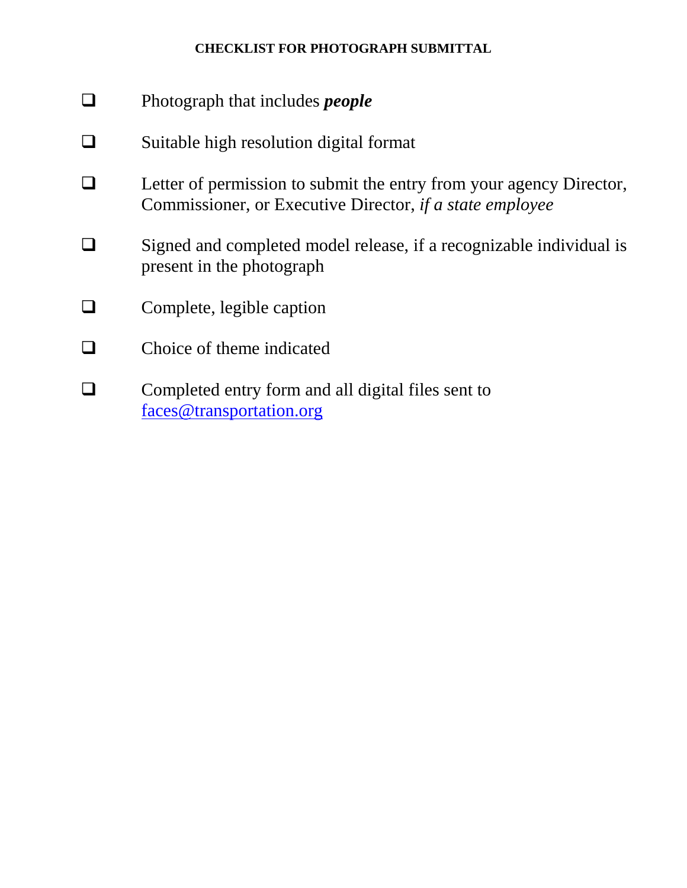## **CHECKLIST FOR PHOTOGRAPH SUBMITTAL**

- Photograph that includes *people*
- $\Box$  Suitable high resolution digital format
- $\Box$  Letter of permission to submit the entry from your agency Director, Commissioner, or Executive Director, *if a state employee*
- □ Signed and completed model release, if a recognizable individual is present in the photograph
- $\Box$  Complete, legible caption
- $\Box$  Choice of theme indicated
- **Q** Completed entry form and all digital files sent to [faces@transportation.org](mailto:faces@transportation.org)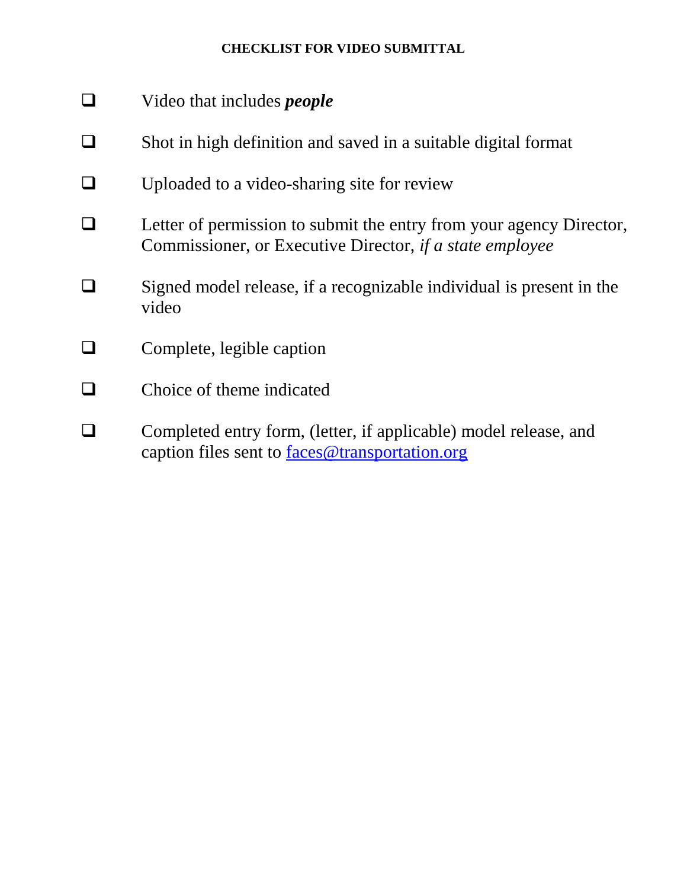## **CHECKLIST FOR VIDEO SUBMITTAL**

- Video that includes *people*
- $\Box$  Shot in high definition and saved in a suitable digital format
- $\Box$  Uploaded to a video-sharing site for review
- $\Box$  Letter of permission to submit the entry from your agency Director, Commissioner, or Executive Director, *if a state employee*
- $\Box$  Signed model release, if a recognizable individual is present in the video
- **Q** Complete, legible caption
- $\Box$  Choice of theme indicated
- Completed entry form, (letter, if applicable) model release, and caption files sent to [faces@transportation.org](mailto:faces@transportation.org)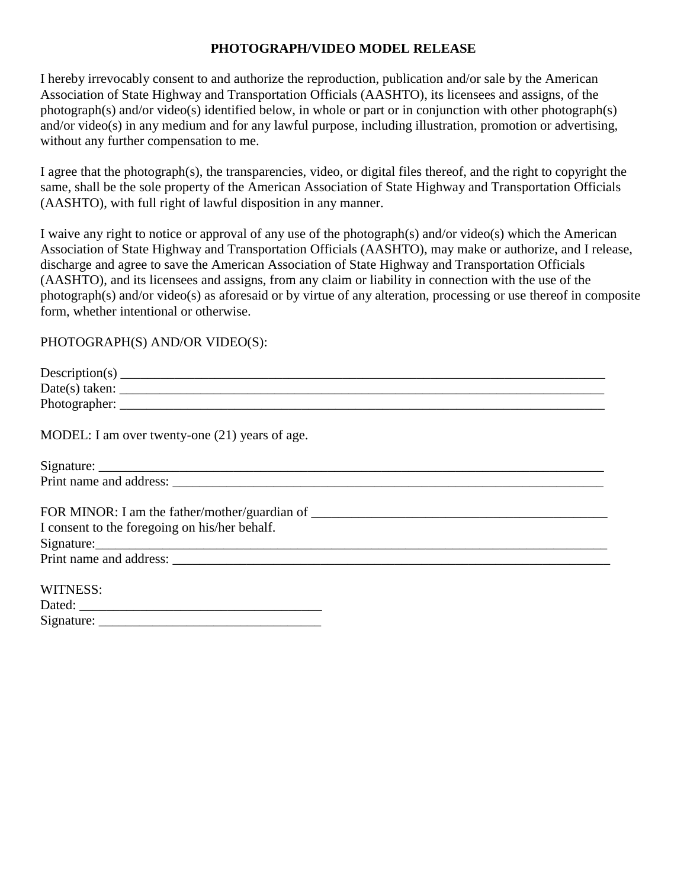#### **PHOTOGRAPH/VIDEO MODEL RELEASE**

I hereby irrevocably consent to and authorize the reproduction, publication and/or sale by the American Association of State Highway and Transportation Officials (AASHTO), its licensees and assigns, of the photograph(s) and/or video(s) identified below, in whole or part or in conjunction with other photograph(s) and/or video(s) in any medium and for any lawful purpose, including illustration, promotion or advertising, without any further compensation to me.

I agree that the photograph(s), the transparencies, video, or digital files thereof, and the right to copyright the same, shall be the sole property of the American Association of State Highway and Transportation Officials (AASHTO), with full right of lawful disposition in any manner.

I waive any right to notice or approval of any use of the photograph(s) and/or video(s) which the American Association of State Highway and Transportation Officials (AASHTO), may make or authorize, and I release, discharge and agree to save the American Association of State Highway and Transportation Officials (AASHTO), and its licensees and assigns, from any claim or liability in connection with the use of the photograph(s) and/or video(s) as aforesaid or by virtue of any alteration, processing or use thereof in composite form, whether intentional or otherwise.

#### PHOTOGRAPH(S) AND/OR VIDEO(S):

Signature:

| MODEL: I am over twenty-one (21) years of age. |
|------------------------------------------------|
|                                                |
|                                                |
|                                                |
| I consent to the foregoing on his/her behalf.  |
|                                                |
|                                                |
| WITNESS:                                       |
|                                                |